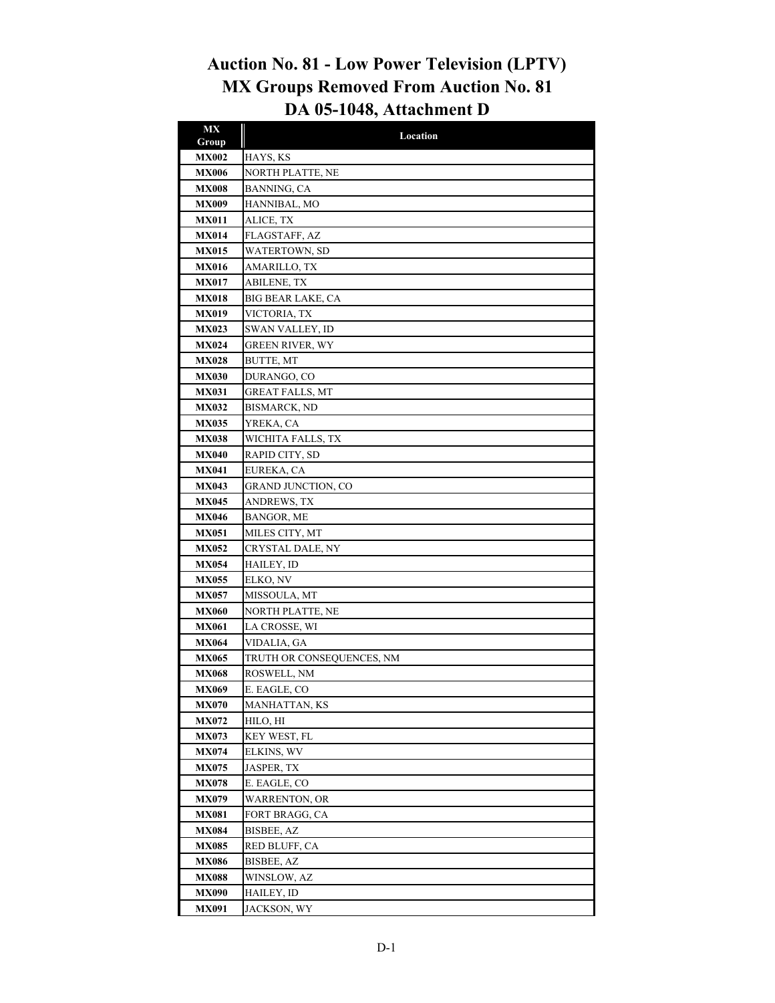## **Auction No. 81 - Low Power Television (LPTV) MX Groups Removed From Auction No. 81 DA 05-1048, Attachment D**

| <b>MX</b>                    | Location                    |
|------------------------------|-----------------------------|
| Group                        |                             |
| <b>MX002</b>                 | HAYS, KS                    |
| <b>MX006</b>                 | NORTH PLATTE, NE            |
| <b>MX008</b>                 | BANNING, CA                 |
| <b>MX009</b>                 | HANNIBAL, MO                |
| <b>MX011</b>                 | ALICE, TX                   |
| <b>MX014</b>                 | FLAGSTAFF, AZ               |
| <b>MX015</b>                 | WATERTOWN, SD               |
| <b>MX016</b><br><b>MX017</b> | AMARILLO, TX<br>ABILENE, TX |
|                              | BIG BEAR LAKE, CA           |
| <b>MX018</b><br><b>MX019</b> | VICTORIA, TX                |
| <b>MX023</b>                 | SWAN VALLEY, ID             |
| <b>MX024</b>                 | <b>GREEN RIVER, WY</b>      |
| <b>MX028</b>                 | <b>BUTTE, MT</b>            |
| <b>MX030</b>                 | DURANGO, CO                 |
| <b>MX031</b>                 | GREAT FALLS, MT             |
| <b>MX032</b>                 | BISMARCK, ND                |
| <b>MX035</b>                 | YREKA, CA                   |
| <b>MX038</b>                 | WICHITA FALLS, TX           |
| <b>MX040</b>                 | RAPID CITY, SD              |
| <b>MX041</b>                 | EUREKA, CA                  |
| <b>MX043</b>                 | <b>GRAND JUNCTION, CO</b>   |
| <b>MX045</b>                 | ANDREWS, TX                 |
| <b>MX046</b>                 | BANGOR, ME                  |
| <b>MX051</b>                 | MILES CITY, MT              |
| <b>MX052</b>                 | CRYSTAL DALE, NY            |
| <b>MX054</b>                 | HAILEY, ID                  |
| <b>MX055</b>                 | ELKO, NV                    |
| <b>MX057</b>                 | MISSOULA, MT                |
| <b>MX060</b>                 | NORTH PLATTE, NE            |
| <b>MX061</b>                 | LA CROSSE, WI               |
| <b>MX064</b>                 | VIDALIA, GA                 |
| <b>MX065</b>                 | TRUTH OR CONSEQUENCES, NM   |
| <b>MX068</b>                 | ROSWELL, NM                 |
| <b>MX069</b>                 | E. EAGLE, CO                |
| <b>MX070</b>                 | MANHATTAN, KS               |
| <b>MX072</b>                 | HILO, HI                    |
| <b>MX073</b>                 | KEY WEST, FL                |
| <b>MX074</b>                 | ELKINS, WV                  |
| <b>MX075</b>                 | JASPER, TX                  |
| <b>MX078</b>                 | E. EAGLE, CO                |
| <b>MX079</b>                 | <b>WARRENTON, OR</b>        |
| <b>MX081</b>                 | FORT BRAGG, CA              |
| <b>MX084</b>                 | <b>BISBEE, AZ</b>           |
| <b>MX085</b>                 | RED BLUFF, CA               |
| <b>MX086</b>                 | BISBEE, AZ                  |
| <b>MX088</b>                 | WINSLOW, AZ                 |
| <b>MX090</b>                 | HAILEY, ID                  |
| <b>MX091</b>                 | JACKSON, WY                 |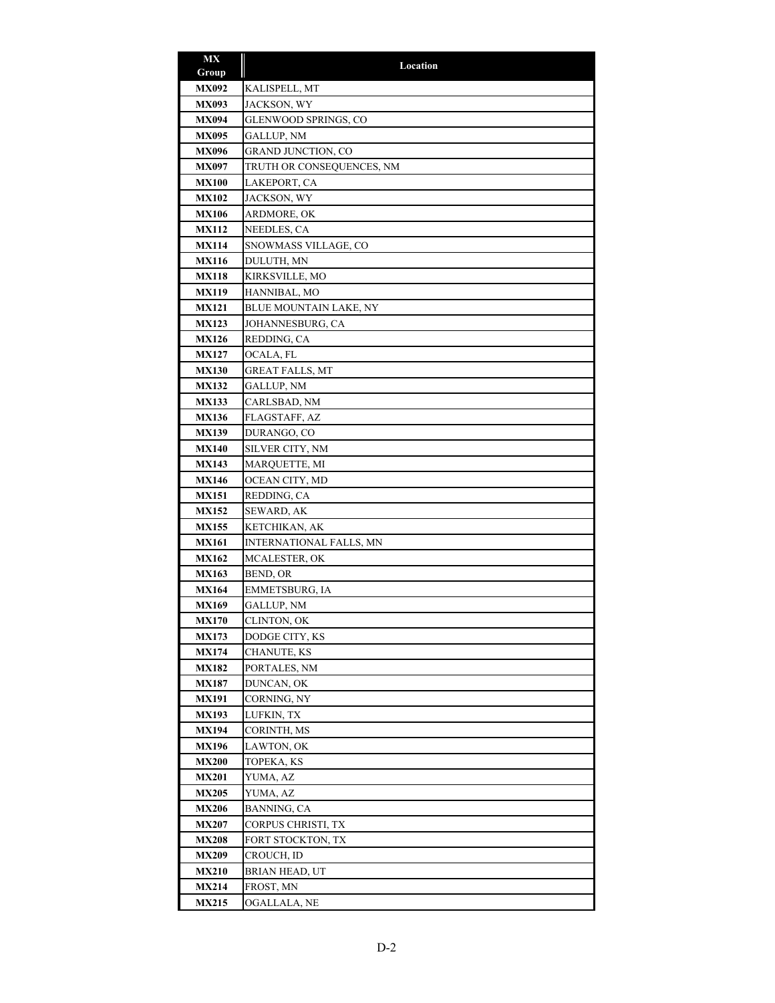| MX           | Location                       |
|--------------|--------------------------------|
| Group        |                                |
| <b>MX092</b> | KALISPELL, MT                  |
| <b>MX093</b> | JACKSON, WY                    |
| <b>MX094</b> | GLENWOOD SPRINGS, CO           |
| <b>MX095</b> | <b>GALLUP, NM</b>              |
| <b>MX096</b> | <b>GRAND JUNCTION, CO</b>      |
| <b>MX097</b> | TRUTH OR CONSEQUENCES, NM      |
| <b>MX100</b> | LAKEPORT, CA                   |
| <b>MX102</b> | JACKSON, WY                    |
| <b>MX106</b> | ARDMORE, OK                    |
| <b>MX112</b> | NEEDLES, CA                    |
| <b>MX114</b> | SNOWMASS VILLAGE, CO           |
| <b>MX116</b> | DULUTH, MN                     |
| <b>MX118</b> | KIRKSVILLE, MO                 |
| <b>MX119</b> | HANNIBAL, MO                   |
| <b>MX121</b> | BLUE MOUNTAIN LAKE, NY         |
| <b>MX123</b> | JOHANNESBURG, CA               |
| <b>MX126</b> | REDDING, CA                    |
| <b>MX127</b> | OCALA, FL                      |
| <b>MX130</b> | GREAT FALLS, MT                |
| <b>MX132</b> | GALLUP, NM                     |
| <b>MX133</b> | CARLSBAD, NM                   |
| <b>MX136</b> | FLAGSTAFF, AZ                  |
| <b>MX139</b> | DURANGO, CO                    |
| <b>MX140</b> | SILVER CITY, NM                |
| <b>MX143</b> | MARQUETTE, MI                  |
| <b>MX146</b> | OCEAN CITY, MD                 |
| <b>MX151</b> | REDDING, CA                    |
| <b>MX152</b> | SEWARD, AK                     |
| <b>MX155</b> | KETCHIKAN, AK                  |
| <b>MX161</b> | <b>INTERNATIONAL FALLS, MN</b> |
| <b>MX162</b> | MCALESTER, OK                  |
| <b>MX163</b> | BEND, OR                       |
| <b>MX164</b> | EMMETSBURG, IA                 |
| MX169        | GALLUP, NM                     |
| <b>MX170</b> | CLINTON, OK                    |
| <b>MX173</b> | DODGE CITY, KS                 |
| <b>MX174</b> | CHANUTE, KS                    |
| <b>MX182</b> | PORTALES, NM                   |
| <b>MX187</b> | DUNCAN, OK                     |
| MX191        | CORNING, NY                    |
| <b>MX193</b> | LUFKIN, TX                     |
| <b>MX194</b> | CORINTH, MS                    |
| <b>MX196</b> | LAWTON, OK                     |
| <b>MX200</b> | TOPEKA, KS                     |
| <b>MX201</b> | YUMA, AZ                       |
| <b>MX205</b> | YUMA, AZ                       |
| <b>MX206</b> | BANNING, CA                    |
| <b>MX207</b> | CORPUS CHRISTI, TX             |
| MX208        | FORT STOCKTON, TX              |
| <b>MX209</b> | CROUCH, ID                     |
| <b>MX210</b> | <b>BRIAN HEAD, UT</b>          |
| <b>MX214</b> | FROST, MN                      |
| <b>MX215</b> | OGALLALA, NE                   |